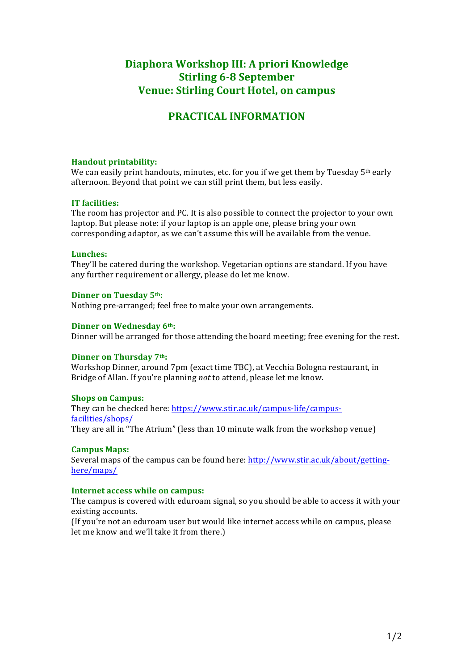# **Diaphora Workshop III: A priori Knowledge Stirling 6-8 September Venue: Stirling Court Hotel, on campus**

# **PRACTICAL INFORMATION**

### **Handout printability:**

We can easily print handouts, minutes, etc. for you if we get them by Tuesday  $5<sup>th</sup>$  early afternoon. Beyond that point we can still print them, but less easily.

### **IT facilities:**

The room has projector and PC. It is also possible to connect the projector to your own laptop. But please note: if your laptop is an apple one, please bring your own corresponding adaptor, as we can't assume this will be available from the venue.

#### **Lunches:**

They'll be catered during the workshop. Vegetarian options are standard. If you have any further requirement or allergy, please do let me know.

### **Dinner on Tuesday 5th:**

Nothing pre-arranged; feel free to make your own arrangements.

### **Dinner on Wednesday 6th:**

Dinner will be arranged for those attending the board meeting; free evening for the rest.

# **Dinner on Thursday 7th:**

Workshop Dinner, around 7pm (exact time TBC), at Vecchia Bologna restaurant, in Bridge of Allan. If you're planning *not* to attend, please let me know.

# **Shops on Campus:**

They can be checked here: https://www.stir.ac.uk/campus-life/campusfacilities/shops/ They are all in "The Atrium" (less than 10 minute walk from the workshop venue)

# **Campus Maps:**

Several maps of the campus can be found here: http://www.stir.ac.uk/about/gettinghere/maps/

#### **Internet access while on campus:**

The campus is covered with eduroam signal, so you should be able to access it with your existing accounts.

(If you're not an eduroam user but would like internet access while on campus, please let me know and we'll take it from there.)